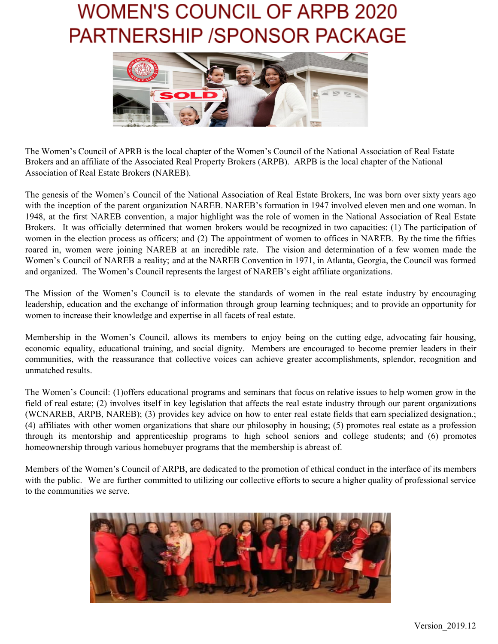

The Women's Council of APRB is the local chapter of the Women's Council of the National Association of Real Estate Brokers and an affiliate of the Associated Real Property Brokers (ARPB). ARPB is the local chapter of the National Association of Real Estate Brokers (NAREB).

The genesis of the Women's Council of the National Association of Real Estate Brokers, Inc was born over sixty years ago with the inception of the parent organization NAREB. NAREB's formation in 1947 involved eleven men and one woman. In 1948, at the first NAREB convention, a major highlight was the role of women in the National Association of Real Estate Brokers. It was officially determined that women brokers would be recognized in two capacities: (1) The participation of women in the election process as officers; and (2) The appointment of women to offices in NAREB. By the time the fifties roared in, women were joining NAREB at an incredible rate. The vision and determination of a few women made the Women's Council of NAREB a reality; and at the NAREB Convention in 1971, in Atlanta, Georgia, the Council was formed and organized. The Women's Council represents the largest of NAREB's eight affiliate organizations.

The Mission of the Women's Council is to elevate the standards of women in the real estate industry by encouraging leadership, education and the exchange of information through group learning techniques; and to provide an opportunity for women to increase their knowledge and expertise in all facets of real estate.

Membership in the Women's Council. allows its members to enjoy being on the cutting edge, advocating fair housing, economic equality, educational training, and social dignity. Members are encouraged to become premier leaders in their communities, with the reassurance that collective voices can achieve greater accomplishments, splendor, recognition and unmatched results.

The Women's Council: (1)offers educational programs and seminars that focus on relative issues to help women grow in the field of real estate; (2) involves itself in key legislation that affects the real estate industry through our parent organizations (WCNAREB, ARPB, NAREB); (3) provides key advice on how to enter real estate fields that earn specialized designation.; (4) affiliates with other women organizations that share our philosophy in housing; (5) promotes real estate as a profession through its mentorship and apprenticeship programs to high school seniors and college students; and (6) promotes homeownership through various homebuyer programs that the membership is abreast of.

Members of the Women's Council of ARPB, are dedicated to the promotion of ethical conduct in the interface of its members with the public. We are further committed to utilizing our collective efforts to secure a higher quality of professional service to the communities we serve.

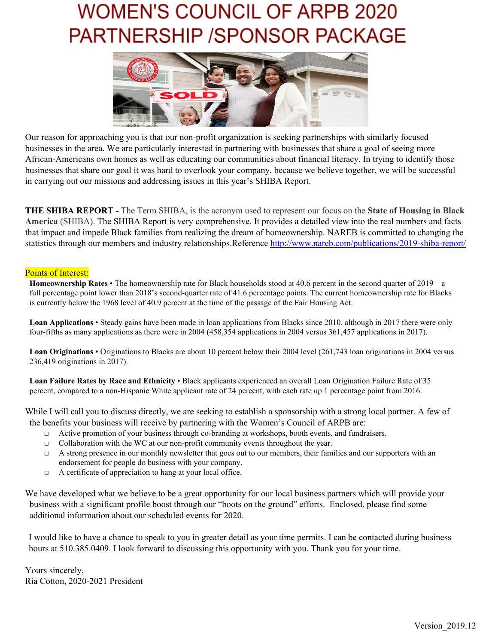

Our reason for approaching you is that our non-profit organization is seeking partnerships with similarly focused businesses in the area. We are particularly interested in partnering with businesses that share a goal of seeing more African-Americans own homes as well as educating our communities about financial literacy. In trying to identify those businesses that share our goal it was hard to overlook your company, because we believe together, we will be successful in carrying out our missions and addressing issues in this year's SHIBA Report.

**THE SHIBA REPORT -** The Term SHIBA, is the acronym used to represent our focus on the **State of Housing in Black America** (SHIBA). The SHIBA Report is very comprehensive. It provides a detailed view into the real numbers and facts that impact and impede Black families from realizing the dream of homeownership. NAREB is committed to changing the statistics through our members and industry relationships.Reference <http://www.nareb.com/publications/2019-shiba-report/>

#### Points of Interest:

**Homeownership Rates** • The homeownership rate for Black households stood at 40.6 percent in the second quarter of 2019—a full percentage point lower than 2018's second-quarter rate of 41.6 percentage points. The current homeownership rate for Blacks is currently below the 1968 level of 40.9 percent at the time of the passage of the Fair Housing Act.

**Loan Applications** • Steady gains have been made in loan applications from Blacks since 2010, although in 2017 there were only four-fifths as many applications as there were in 2004 (458,354 applications in 2004 versus 361,457 applications in 2017).

**Loan Originations** • Originations to Blacks are about 10 percent below their 2004 level (261,743 loan originations in 2004 versus 236,419 originations in 2017).

**Loan Failure Rates by Race and Ethnicity** • Black applicants experienced an overall Loan Origination Failure Rate of 35 percent, compared to a non-Hispanic White applicant rate of 24 percent, with each rate up 1 percentage point from 2016.

While I will call you to discuss directly, we are seeking to establish a sponsorship with a strong local partner. A few of the benefits your business will receive by partnering with the Women's Council of ARPB are:

- $\Box$  Active promotion of your business through co-branding at workshops, booth events, and fundraisers.
- □ Collaboration with the WC at our non-profit community events throughout the year.
- $\Box$  A strong presence in our monthly newsletter that goes out to our members, their families and our supporters with an endorsement for people do business with your company.
- □ A certificate of appreciation to hang at your local office.

We have developed what we believe to be a great opportunity for our local business partners which will provide your business with a significant profile boost through our "boots on the ground" efforts. Enclosed, please find some additional information about our scheduled events for 2020.

I would like to have a chance to speak to you in greater detail as your time permits. I can be contacted during business hours at 510.385.0409. I look forward to discussing this opportunity with you. Thank you for your time.

Yours sincerely, Ria Cotton, 2020-2021 President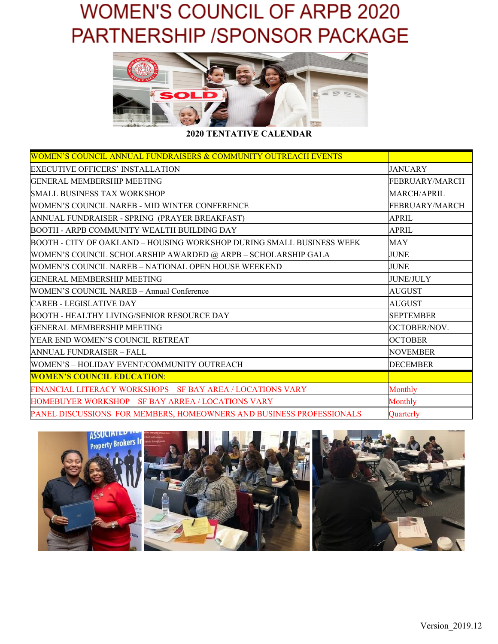

**2020 TENTATIVE CALENDAR**

| <b>WOMEN'S COUNCIL ANNUAL FUNDRAISERS &amp; COMMUNITY OUTREACH EVENTS</b> |                       |
|---------------------------------------------------------------------------|-----------------------|
| EXECUTIVE OFFICERS' INSTALLATION                                          | <b>JANUARY</b>        |
| GENERAL MEMBERSHIP MEETING                                                | <b>FEBRUARY/MARCH</b> |
| <b>SMALL BUSINESS TAX WORKSHOP</b>                                        | MARCH/APRIL           |
| WOMEN'S COUNCIL NAREB - MID WINTER CONFERENCE                             | <b>FEBRUARY/MARCH</b> |
| ANNUAL FUNDRAISER - SPRING (PRAYER BREAKFAST)                             | <b>APRIL</b>          |
| BOOTH - ARPB COMMUNITY WEALTH BUILDING DAY                                | APRIL                 |
| BOOTH - CITY OF OAKLAND – HOUSING WORKSHOP DURING SMALL BUSINESS WEEK     | MAY                   |
| WOMEN'S COUNCIL SCHOLARSHIP AWARDED @ ARPB - SCHOLARSHIP GALA             | <b>JUNE</b>           |
| WOMEN'S COUNCIL NAREB - NATIONAL OPEN HOUSE WEEKEND                       | <b>JUNE</b>           |
| GENERAL MEMBERSHIP MEETING                                                | <b>JUNE/JULY</b>      |
| <b>WOMEN'S COUNCIL NAREB - Annual Conference</b>                          | <b>AUGUST</b>         |
| <b>CAREB - LEGISLATIVE DAY</b>                                            | <b>AUGUST</b>         |
| BOOTH - HEALTHY LIVING/SENIOR RESOURCE DAY                                | <b>SEPTEMBER</b>      |
| <b>GENERAL MEMBERSHIP MEETING</b>                                         | OCTOBER/NOV.          |
| YEAR END WOMEN'S COUNCIL RETREAT                                          | <b>OCTOBER</b>        |
| ANNUAL FUNDRAISER - FALL                                                  | <b>NOVEMBER</b>       |
| WOMEN'S - HOLIDAY EVENT/COMMUNITY OUTREACH                                | <b>DECEMBER</b>       |
| <b>WOMEN'S COUNCIL EDUCATION:</b>                                         |                       |
| FINANCIAL LITERACY WORKSHOPS – SF BAY AREA / LOCATIONS VARY               | Monthly               |
| HOMEBUYER WORKSHOP – SF BAY ARREA / LOCATIONS VARY                        | Monthly               |
| PANEL DISCUSSIONS FOR MEMBERS, HOMEOWNERS AND BUSINESS PROFESSIONALS      | <b>Ouarterly</b>      |

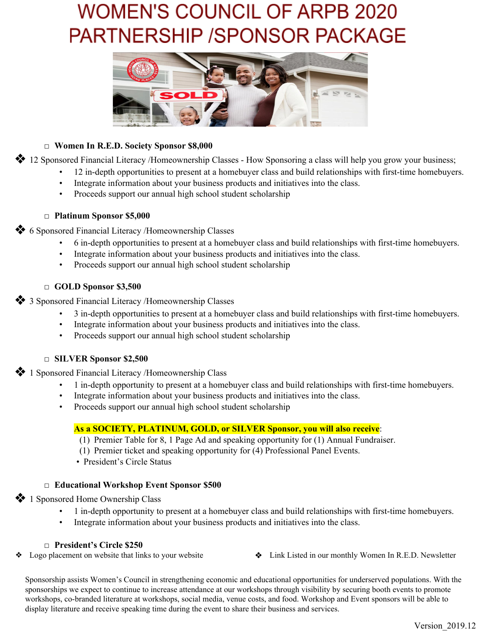

#### **□ Women In R.E.D. Society Sponsor \$8,000**

❖ <sup>12</sup> Sponsored Financial Literacy /Homeownership Classes - How Sponsoring <sup>a</sup> class will help you grow your business;

- 12 in-depth opportunities to present at a homebuyer class and build relationships with first-time homebuyers.
- Integrate information about your business products and initiatives into the class.
- Proceeds support our annual high school student scholarship

#### **□ Platinum Sponsor \$5,000**

❖ <sup>6</sup> Sponsored Financial Literacy /Homeownership Classes

- 6 in-depth opportunities to present at a homebuyer class and build relationships with first-time homebuyers.
- Integrate information about your business products and initiatives into the class.
- Proceeds support our annual high school student scholarship

### **□ GOLD Sponsor \$3,500**

❖ <sup>3</sup> Sponsored Financial Literacy /Homeownership Classes

- 3 in-depth opportunities to present at a homebuyer class and build relationships with first-time homebuyers.
- Integrate information about your business products and initiatives into the class.
- Proceeds support our annual high school student scholarship

#### **□ SILVER Sponsor \$2,500**

❖ <sup>1</sup> Sponsored Financial Literacy /Homeownership Class

- 1 in-depth opportunity to present at a homebuyer class and build relationships with first-time homebuyers.
- Integrate information about your business products and initiatives into the class.
- Proceeds support our annual high school student scholarship

### **As a SOCIETY, PLATINUM, GOLD, or SILVER Sponsor, you will also receive**:

- (1) Premier Table for 8, 1 Page Ad and speaking opportunity for (1) Annual Fundraiser.
- (1) Premier ticket and speaking opportunity for (4) Professional Panel Events.
- President's Circle Status

### **□ Educational Workshop Event Sponsor \$500**

❖ <sup>1</sup> Sponsored Home Ownership Class

- 1 in-depth opportunity to present at a homebuyer class and build relationships with first-time homebuyers.
- Integrate information about your business products and initiatives into the class.

### **□ President's Circle \$250**

- 
- ❖ Logo placement on website that links to your website ❖ Link Listed in our monthly Women In R.E.D. Newsletter

Sponsorship assists Women's Council in strengthening economic and educational opportunities for underserved populations. With the sponsorships we expect to continue to increase attendance at our workshops through visibility by securing booth events to promote workshops, co-branded literature at workshops, social media, venue costs, and food. Workshop and Event sponsors will be able to display literature and receive speaking time during the event to share their business and services.